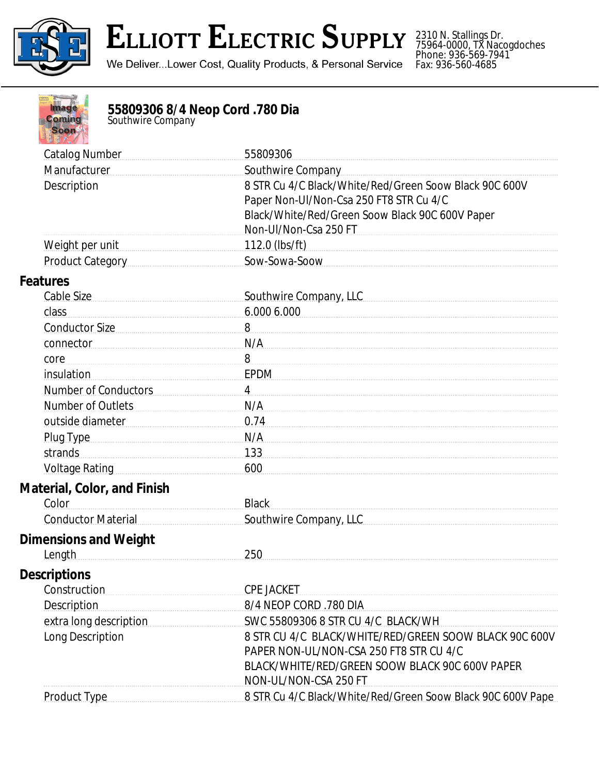

## **ELLIOTT ELECTRIC SUPPLY**

We Deliver...Lower Cost, Quality Products, & Personal Service

2310 N. Stallings Dr. 75964-0000, TX Nacogdoches Phone: 936-569-7941 Fax: 936-560-4685



## **55809306 8/4 Neop Cord .780 Dia**

*Southwire Company*

| <b>Catalog Number</b>                                                                                                                                                                                                          | 55809306                                                                                          |
|--------------------------------------------------------------------------------------------------------------------------------------------------------------------------------------------------------------------------------|---------------------------------------------------------------------------------------------------|
| Manufacturer                                                                                                                                                                                                                   | Southwire Company                                                                                 |
| Description                                                                                                                                                                                                                    | 8 STR Cu 4/C Black/White/Red/Green Soow Black 90C 600V                                            |
|                                                                                                                                                                                                                                | Paper Non-UI/Non-Csa 250 FT8 STR Cu 4/C                                                           |
|                                                                                                                                                                                                                                | Black/White/Red/Green Soow Black 90C 600V Paper                                                   |
|                                                                                                                                                                                                                                | Non-Ul/Non-Csa 250 FT                                                                             |
| Weight per unit                                                                                                                                                                                                                | 112.0 (lbs/ft)                                                                                    |
| Product Category Product Category                                                                                                                                                                                              | Sow-Sowa-Soow                                                                                     |
| <b>Features</b>                                                                                                                                                                                                                |                                                                                                   |
| Cable Size                                                                                                                                                                                                                     | Southwire Company, LLC                                                                            |
| class                                                                                                                                                                                                                          | 6.000 6.000                                                                                       |
| Conductor Size                                                                                                                                                                                                                 | 8                                                                                                 |
| connector                                                                                                                                                                                                                      | N/A                                                                                               |
| core                                                                                                                                                                                                                           | 8                                                                                                 |
| <i>insulation</i>                                                                                                                                                                                                              | <b>EPDM</b>                                                                                       |
| Number of Conductors                                                                                                                                                                                                           | $\overline{4}$                                                                                    |
| <b>Number of Outlets</b>                                                                                                                                                                                                       | N/A                                                                                               |
| outside diameter [11] and the distribution of the distribution of the distribution of the distribution of the s                                                                                                                | 0.74                                                                                              |
| Plug Type                                                                                                                                                                                                                      | N/A                                                                                               |
| strands                                                                                                                                                                                                                        | 133                                                                                               |
| Voltage Rating Management Control Control Control Control Control Control Control Control Control Control Control Control Control Control Control Control Control Control Control Control Control Control Control Control Cont | 600                                                                                               |
| <b>Material, Color, and Finish</b>                                                                                                                                                                                             |                                                                                                   |
| Color                                                                                                                                                                                                                          | <b>Black</b>                                                                                      |
| <b>Conductor Material</b>                                                                                                                                                                                                      | Southwire Company, LLC                                                                            |
| <b>Dimensions and Weight</b>                                                                                                                                                                                                   |                                                                                                   |
| Length                                                                                                                                                                                                                         | 250                                                                                               |
| <b>Descriptions</b>                                                                                                                                                                                                            |                                                                                                   |
| Construction                                                                                                                                                                                                                   | <b>CPE JACKET</b>                                                                                 |
| <b>Description</b>                                                                                                                                                                                                             | 8/4 NEOP CORD .780 DIA                                                                            |
| extra long description                                                                                                                                                                                                         | SWC 55809306 8 STR CU 4/C BLACK/WH                                                                |
| Long Description                                                                                                                                                                                                               | 8 STR CU 4/C BLACK/WHITE/RED/GREEN SOOW BLACK 90C 600V<br>PAPER NON-UL/NON-CSA 250 FT8 STR CU 4/C |
|                                                                                                                                                                                                                                | BLACK/WHITE/RED/GREEN SOOW BLACK 90C 600V PAPER<br>NON-UL/NON-CSA 250 FT                          |
| Product Type Manual Product Type                                                                                                                                                                                               | 8 STR Cu 4/C Black/White/Red/Green Soow Black 90C 600V Pape                                       |